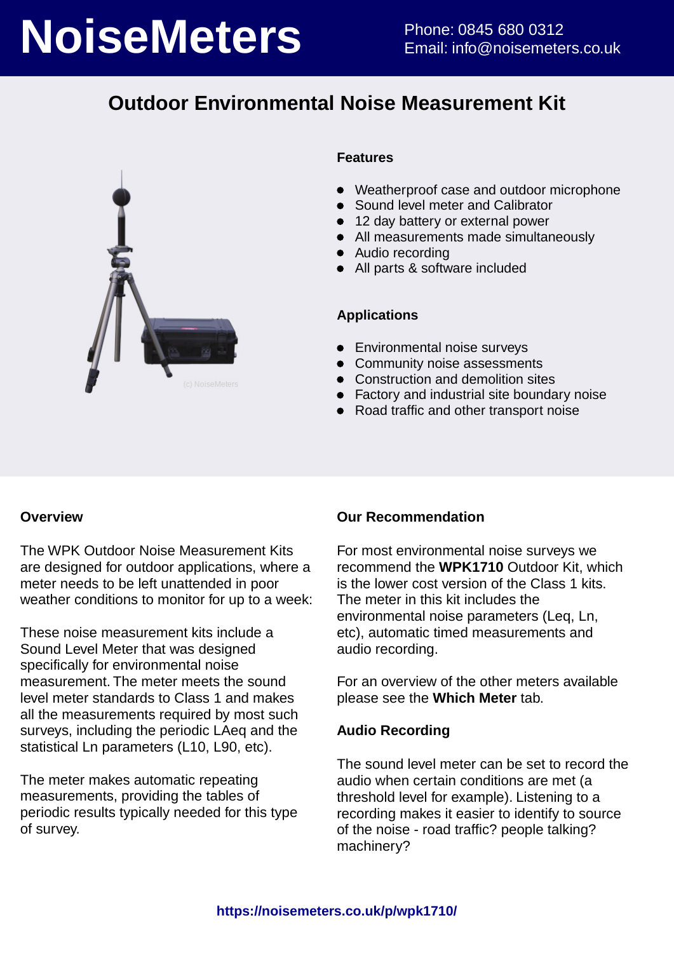# **NoiseMeters** Phone: 0845 680 0312

## **Outdoor Environmental Noise Measurement Kit**



#### **Features**

- Weatherproof case and outdoor microphone
- Sound level meter and Calibrator
- 12 day battery or external power
- All measurements made simultaneously
- Audio recording
- All parts & software included

#### **Applications**

- Environmental noise surveys
- Community noise assessments
- Construction and demolition sites
- Factory and industrial site boundary noise
- Road traffic and other transport noise

#### **Overview**

The WPK Outdoor Noise Measurement Kits are designed for outdoor applications, where a meter needs to be left unattended in poor weather conditions to monitor for up to a week:

These noise measurement kits include a Sound Level Meter that was designed specifically for environmental noise measurement. The meter meets the sound level meter standards to Class 1 and makes all the measurements required by most such surveys, including the periodic LAeq and the statistical Ln parameters (L10, L90, etc).

The meter makes automatic repeating measurements, providing the tables of periodic results typically needed for this type of survey.

#### **Our Recommendation**

For most environmental noise surveys we recommend the **WPK1710** Outdoor Kit, which is the lower cost version of the Class 1 kits. The meter in this kit includes the environmental noise parameters (Leq, Ln, etc), automatic timed measurements and audio recording.

For an overview of the other meters available please see the **Which Meter** tab.

#### **Audio Recording**

The sound level meter can be set to record the audio when certain conditions are met (a threshold level for example). Listening to a recording makes it easier to identify to source of the noise - road traffic? people talking? machinery?